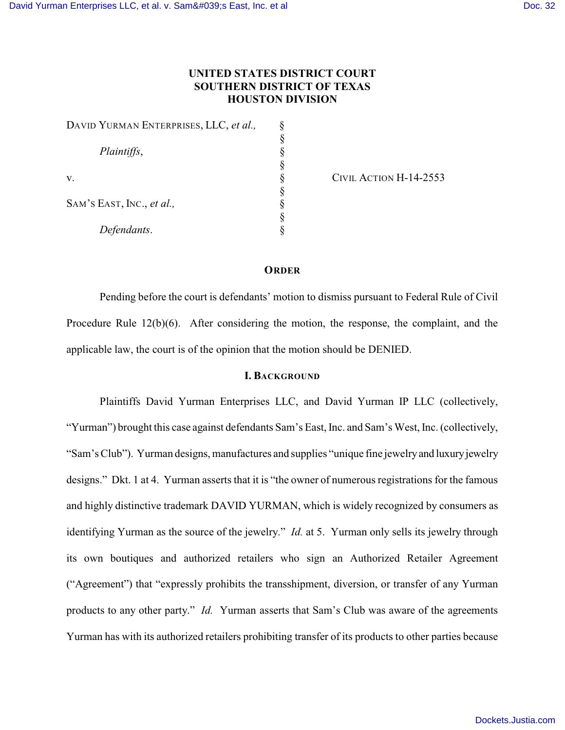# **UNITED STATES DISTRICT COURT SOUTHERN DISTRICT OF TEXAS HOUSTON DIVISION**

| DAVID YURMAN ENTERPRISES, LLC, et al., |  |
|----------------------------------------|--|
|                                        |  |
| Plaintiffs,                            |  |
|                                        |  |
| V.                                     |  |
|                                        |  |
| SAM'S EAST, INC., et al.,              |  |
|                                        |  |
| Defendants.                            |  |

CIVIL ACTION H-14-2553

#### **ORDER**

Pending before the court is defendants' motion to dismiss pursuant to Federal Rule of Civil Procedure Rule 12(b)(6). After considering the motion, the response, the complaint, and the applicable law, the court is of the opinion that the motion should be DENIED.

## **I. BACKGROUND**

Plaintiffs David Yurman Enterprises LLC, and David Yurman IP LLC (collectively, "Yurman") brought this case against defendants Sam's East, Inc. and Sam's West, Inc. (collectively, "Sam's Club"). Yurman designs, manufactures and supplies "unique fine jewelry and luxury jewelry designs." Dkt. 1 at 4. Yurman asserts that it is "the owner of numerous registrations for the famous and highly distinctive trademark DAVID YURMAN, which is widely recognized by consumers as identifying Yurman as the source of the jewelry." *Id.* at 5. Yurman only sells its jewelry through its own boutiques and authorized retailers who sign an Authorized Retailer Agreement ("Agreement") that "expressly prohibits the transshipment, diversion, or transfer of any Yurman products to any other party." *Id.* Yurman asserts that Sam's Club was aware of the agreements Yurman has with its authorized retailers prohibiting transfer of its products to other parties because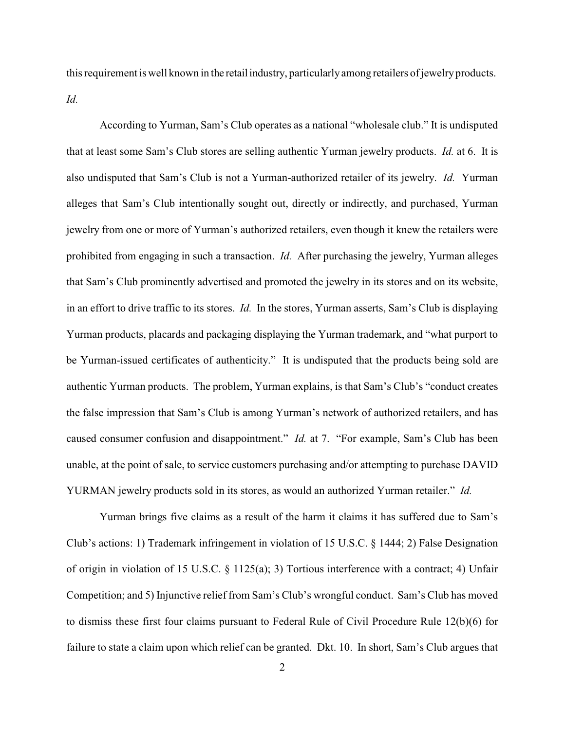this requirement is well known in the retail industry, particularly among retailers of jewelry products. *Id.* 

According to Yurman, Sam's Club operates as a national "wholesale club." It is undisputed that at least some Sam's Club stores are selling authentic Yurman jewelry products. *Id.* at 6. It is also undisputed that Sam's Club is not a Yurman-authorized retailer of its jewelry. *Id.* Yurman alleges that Sam's Club intentionally sought out, directly or indirectly, and purchased, Yurman jewelry from one or more of Yurman's authorized retailers, even though it knew the retailers were prohibited from engaging in such a transaction. *Id.* After purchasing the jewelry, Yurman alleges that Sam's Club prominently advertised and promoted the jewelry in its stores and on its website, in an effort to drive traffic to its stores. *Id.* In the stores, Yurman asserts, Sam's Club is displaying Yurman products, placards and packaging displaying the Yurman trademark, and "what purport to be Yurman-issued certificates of authenticity." It is undisputed that the products being sold are authentic Yurman products. The problem, Yurman explains, is that Sam's Club's "conduct creates the false impression that Sam's Club is among Yurman's network of authorized retailers, and has caused consumer confusion and disappointment." *Id.* at 7. "For example, Sam's Club has been unable, at the point of sale, to service customers purchasing and/or attempting to purchase DAVID YURMAN jewelry products sold in its stores, as would an authorized Yurman retailer." *Id.* 

Yurman brings five claims as a result of the harm it claims it has suffered due to Sam's Club's actions: 1) Trademark infringement in violation of 15 U.S.C. § 1444; 2) False Designation of origin in violation of 15 U.S.C. § 1125(a); 3) Tortious interference with a contract; 4) Unfair Competition; and 5) Injunctive relief from Sam's Club's wrongful conduct. Sam's Club has moved to dismiss these first four claims pursuant to Federal Rule of Civil Procedure Rule 12(b)(6) for failure to state a claim upon which relief can be granted. Dkt. 10. In short, Sam's Club argues that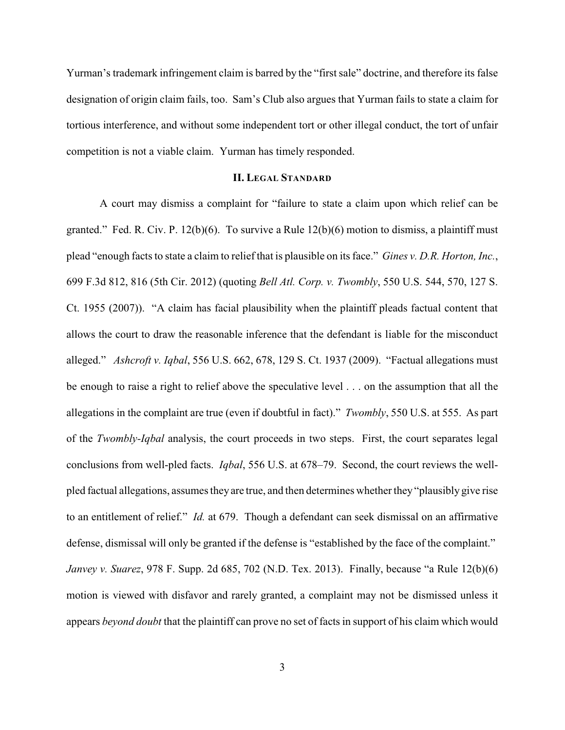Yurman's trademark infringement claim is barred by the "first sale" doctrine, and therefore its false designation of origin claim fails, too. Sam's Club also argues that Yurman fails to state a claim for tortious interference, and without some independent tort or other illegal conduct, the tort of unfair competition is not a viable claim. Yurman has timely responded.

### **II. LEGAL STANDARD**

A court may dismiss a complaint for "failure to state a claim upon which relief can be granted." Fed. R. Civ. P.  $12(b)(6)$ . To survive a Rule  $12(b)(6)$  motion to dismiss, a plaintiff must plead "enough facts to state a claim to relief that is plausible on its face." *Gines v. D.R. Horton, Inc.*, 699 F.3d 812, 816 (5th Cir. 2012) (quoting *Bell Atl. Corp. v. Twombly*, 550 U.S. 544, 570, 127 S. Ct. 1955 (2007)). "A claim has facial plausibility when the plaintiff pleads factual content that allows the court to draw the reasonable inference that the defendant is liable for the misconduct alleged." *Ashcroft v. Iqbal*, 556 U.S. 662, 678, 129 S. Ct. 1937 (2009). "Factual allegations must be enough to raise a right to relief above the speculative level . . . on the assumption that all the allegations in the complaint are true (even if doubtful in fact)." *Twombly*, 550 U.S. at 555. As part of the *Twombly-Iqbal* analysis, the court proceeds in two steps. First, the court separates legal conclusions from well-pled facts. *Iqbal*, 556 U.S. at 678–79. Second, the court reviews the wellpled factual allegations, assumes they are true, and then determines whetherthey "plausibly give rise to an entitlement of relief." *Id.* at 679. Though a defendant can seek dismissal on an affirmative defense, dismissal will only be granted if the defense is "established by the face of the complaint." *Janvey v. Suarez*, 978 F. Supp. 2d 685, 702 (N.D. Tex. 2013). Finally, because "a Rule 12(b)(6) motion is viewed with disfavor and rarely granted, a complaint may not be dismissed unless it appears *beyond doubt* that the plaintiff can prove no set of facts in support of his claim which would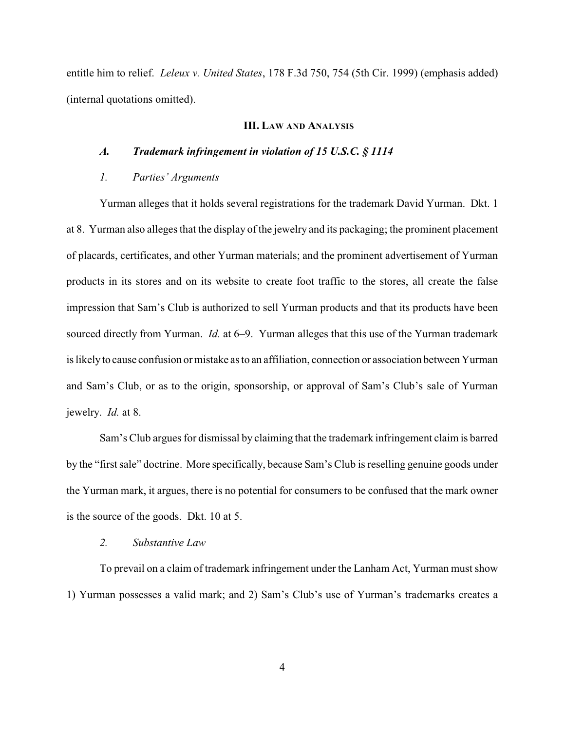entitle him to relief. *Leleux v. United States*, 178 F.3d 750, 754 (5th Cir. 1999) (emphasis added) (internal quotations omitted).

#### **III. LAW AND ANALYSIS**

#### *A. Trademark infringement in violation of 15 U.S.C. § 1114*

## *1. Parties' Arguments*

Yurman alleges that it holds several registrations for the trademark David Yurman. Dkt. 1 at 8. Yurman also alleges that the display of the jewelry and its packaging; the prominent placement of placards, certificates, and other Yurman materials; and the prominent advertisement of Yurman products in its stores and on its website to create foot traffic to the stores, all create the false impression that Sam's Club is authorized to sell Yurman products and that its products have been sourced directly from Yurman. *Id.* at 6–9. Yurman alleges that this use of the Yurman trademark is likelyto cause confusion or mistake as to an affiliation, connection or association between Yurman and Sam's Club, or as to the origin, sponsorship, or approval of Sam's Club's sale of Yurman jewelry. *Id.* at 8.

Sam's Club argues for dismissal by claiming that the trademark infringement claim is barred by the "first sale" doctrine. More specifically, because Sam's Club is reselling genuine goods under the Yurman mark, it argues, there is no potential for consumers to be confused that the mark owner is the source of the goods. Dkt. 10 at 5.

#### *2. Substantive Law*

To prevail on a claim of trademark infringement under the Lanham Act, Yurman must show 1) Yurman possesses a valid mark; and 2) Sam's Club's use of Yurman's trademarks creates a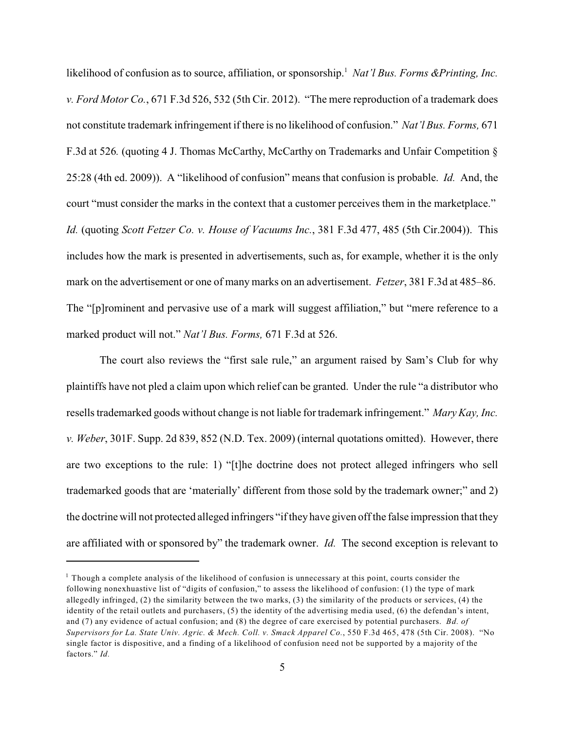likelihood of confusion as to source, affiliation, or sponsorship.<sup>1</sup> Nat'l Bus. Forms &Printing, Inc. *v. Ford Motor Co.*, 671 F.3d 526, 532 (5th Cir. 2012). "The mere reproduction of a trademark does not constitute trademark infringement if there is no likelihood of confusion." *Nat'l Bus. Forms,* 671 F.3d at 526*.* (quoting 4 J. Thomas McCarthy, McCarthy on Trademarks and Unfair Competition § 25:28 (4th ed. 2009)). A "likelihood of confusion" means that confusion is probable. *Id.* And, the court "must consider the marks in the context that a customer perceives them in the marketplace." *Id.* (quoting *Scott Fetzer Co. v. House of Vacuums Inc.*, 381 F.3d 477, 485 (5th Cir.2004)). This includes how the mark is presented in advertisements, such as, for example, whether it is the only mark on the advertisement or one of many marks on an advertisement. *Fetzer*, 381 F.3d at 485–86. The "[p]rominent and pervasive use of a mark will suggest affiliation," but "mere reference to a marked product will not." *Nat'l Bus. Forms,* 671 F.3d at 526.

The court also reviews the "first sale rule," an argument raised by Sam's Club for why plaintiffs have not pled a claim upon which relief can be granted. Under the rule "a distributor who resells trademarked goods without change is not liable for trademark infringement." *Mary Kay, Inc. v. Weber*, 301F. Supp. 2d 839, 852 (N.D. Tex. 2009) (internal quotations omitted). However, there are two exceptions to the rule: 1) "[t]he doctrine does not protect alleged infringers who sell trademarked goods that are 'materially' different from those sold by the trademark owner;" and 2) the doctrine will not protected alleged infringers "if theyhave given off the false impression that they are affiliated with or sponsored by" the trademark owner. *Id.* The second exception is relevant to

 $1$  Though a complete analysis of the likelihood of confusion is unnecessary at this point, courts consider the following nonexhuastive list of "digits of confusion," to assess the likelihood of confusion: (1) the type of mark allegedly infringed, (2) the similarity between the two marks, (3) the similarity of the products or services, (4) the identity of the retail outlets and purchasers, (5) the identity of the advertising media used, (6) the defendan's intent, and (7) any evidence of actual confusion; and (8) the degree of care exercised by potential purchasers. *Bd. of Supervisors for La. State Univ. Agric. & Mech. Coll. v. Smack Apparel Co.*, 550 F.3d 465, 478 (5th Cir. 2008). "No single factor is dispositive, and a finding of a likelihood of confusion need not be supported by a majority of the factors." *Id.*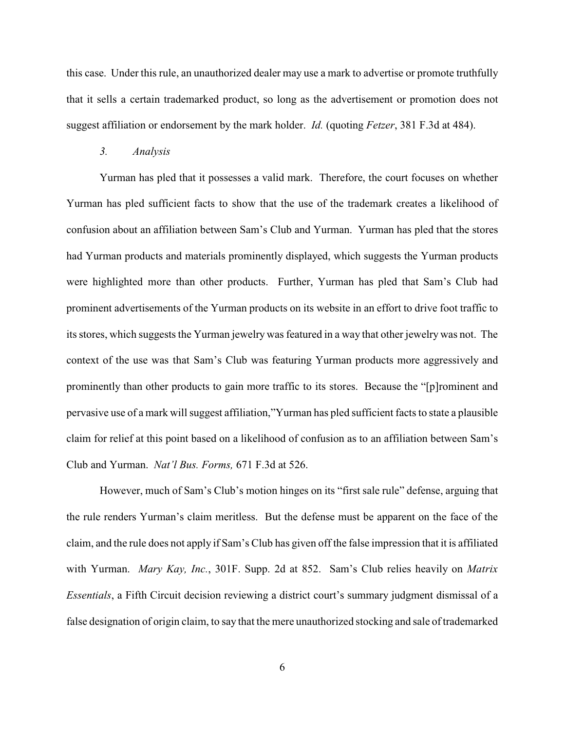this case. Under this rule, an unauthorized dealer may use a mark to advertise or promote truthfully that it sells a certain trademarked product, so long as the advertisement or promotion does not suggest affiliation or endorsement by the mark holder. *Id.* (quoting *Fetzer*, 381 F.3d at 484).

#### *3. Analysis*

Yurman has pled that it possesses a valid mark. Therefore, the court focuses on whether Yurman has pled sufficient facts to show that the use of the trademark creates a likelihood of confusion about an affiliation between Sam's Club and Yurman. Yurman has pled that the stores had Yurman products and materials prominently displayed, which suggests the Yurman products were highlighted more than other products. Further, Yurman has pled that Sam's Club had prominent advertisements of the Yurman products on its website in an effort to drive foot traffic to its stores, which suggests the Yurman jewelry was featured in a way that other jewelry was not. The context of the use was that Sam's Club was featuring Yurman products more aggressively and prominently than other products to gain more traffic to its stores. Because the "[p]rominent and pervasive use of a mark will suggest affiliation,"Yurman has pled sufficient facts to state a plausible claim for relief at this point based on a likelihood of confusion as to an affiliation between Sam's Club and Yurman. *Nat'l Bus. Forms,* 671 F.3d at 526.

However, much of Sam's Club's motion hinges on its "first sale rule" defense, arguing that the rule renders Yurman's claim meritless. But the defense must be apparent on the face of the claim, and the rule does not apply if Sam's Club has given off the false impression that it is affiliated with Yurman. *Mary Kay, Inc.*, 301F. Supp. 2d at 852. Sam's Club relies heavily on *Matrix Essentials*, a Fifth Circuit decision reviewing a district court's summary judgment dismissal of a false designation of origin claim, to say that the mere unauthorized stocking and sale of trademarked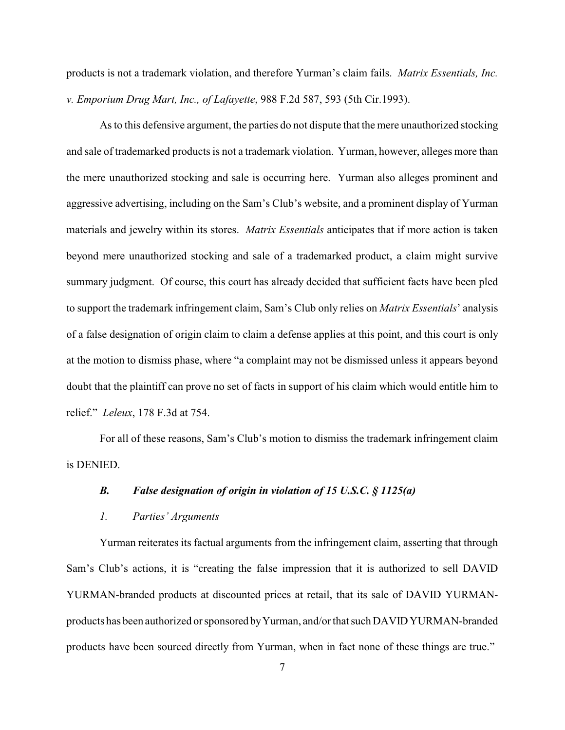products is not a trademark violation, and therefore Yurman's claim fails. *Matrix Essentials, Inc. v. Emporium Drug Mart, Inc., of Lafayette*, 988 F.2d 587, 593 (5th Cir.1993).

As to this defensive argument, the parties do not dispute that the mere unauthorized stocking and sale of trademarked products is not a trademark violation. Yurman, however, alleges more than the mere unauthorized stocking and sale is occurring here. Yurman also alleges prominent and aggressive advertising, including on the Sam's Club's website, and a prominent display of Yurman materials and jewelry within its stores. *Matrix Essentials* anticipates that if more action is taken beyond mere unauthorized stocking and sale of a trademarked product, a claim might survive summary judgment. Of course, this court has already decided that sufficient facts have been pled to support the trademark infringement claim, Sam's Club only relies on *Matrix Essentials*' analysis of a false designation of origin claim to claim a defense applies at this point, and this court is only at the motion to dismiss phase, where "a complaint may not be dismissed unless it appears beyond doubt that the plaintiff can prove no set of facts in support of his claim which would entitle him to relief." *Leleux*, 178 F.3d at 754.

For all of these reasons, Sam's Club's motion to dismiss the trademark infringement claim is DENIED.

### *B. False designation of origin in violation of 15 U.S.C. § 1125(a)*

#### *1. Parties' Arguments*

Yurman reiterates its factual arguments from the infringement claim, asserting that through Sam's Club's actions, it is "creating the false impression that it is authorized to sell DAVID YURMAN-branded products at discounted prices at retail, that its sale of DAVID YURMANproducts has been authorized or sponsored byYurman, and/or that such DAVID YURMAN-branded products have been sourced directly from Yurman, when in fact none of these things are true."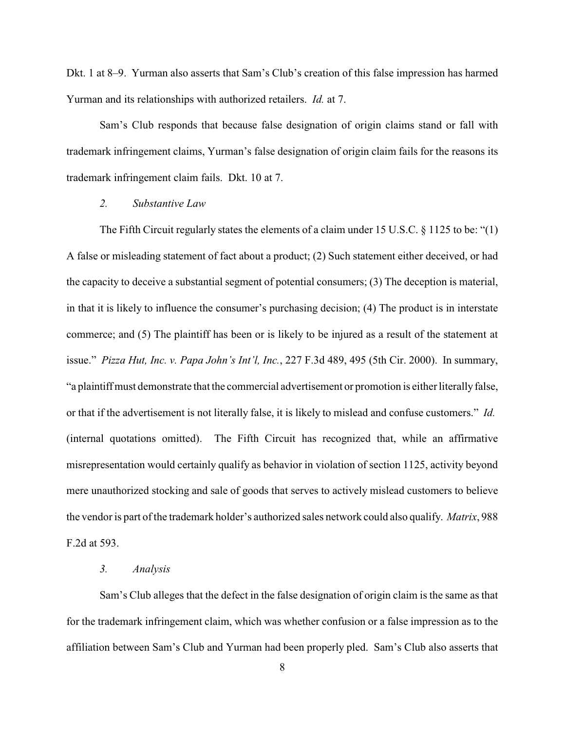Dkt. 1 at 8–9. Yurman also asserts that Sam's Club's creation of this false impression has harmed Yurman and its relationships with authorized retailers. *Id.* at 7.

Sam's Club responds that because false designation of origin claims stand or fall with trademark infringement claims, Yurman's false designation of origin claim fails for the reasons its trademark infringement claim fails. Dkt. 10 at 7.

## *2. Substantive Law*

The Fifth Circuit regularly states the elements of a claim under 15 U.S.C. § 1125 to be: "(1) A false or misleading statement of fact about a product; (2) Such statement either deceived, or had the capacity to deceive a substantial segment of potential consumers; (3) The deception is material, in that it is likely to influence the consumer's purchasing decision; (4) The product is in interstate commerce; and (5) The plaintiff has been or is likely to be injured as a result of the statement at issue." *Pizza Hut, Inc. v. Papa John's Int'l, Inc.*, 227 F.3d 489, 495 (5th Cir. 2000). In summary, "a plaintiffmust demonstrate that the commercial advertisement or promotion is either literallyfalse, or that if the advertisement is not literally false, it is likely to mislead and confuse customers." *Id.*  (internal quotations omitted). The Fifth Circuit has recognized that, while an affirmative misrepresentation would certainly qualify as behavior in violation of section 1125, activity beyond mere unauthorized stocking and sale of goods that serves to actively mislead customers to believe the vendor is part of the trademark holder's authorized sales network could also qualify. *Matrix*, 988 F.2d at 593.

## *3. Analysis*

Sam's Club alleges that the defect in the false designation of origin claim is the same as that for the trademark infringement claim, which was whether confusion or a false impression as to the affiliation between Sam's Club and Yurman had been properly pled. Sam's Club also asserts that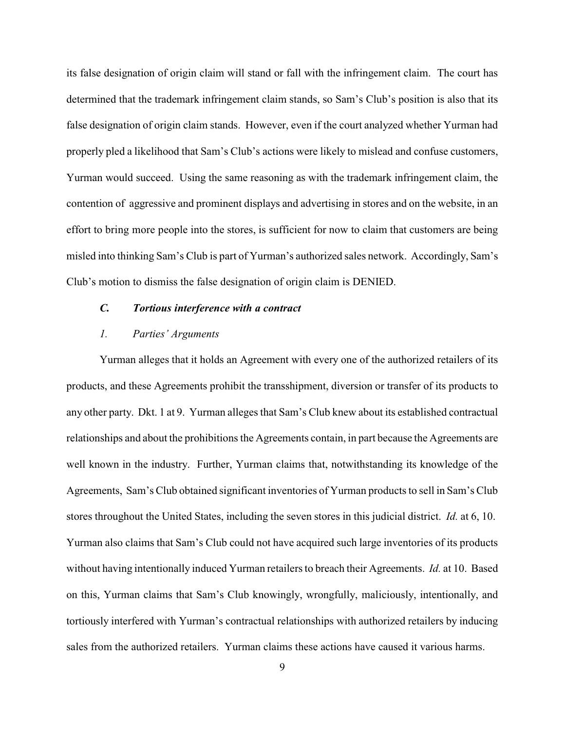its false designation of origin claim will stand or fall with the infringement claim. The court has determined that the trademark infringement claim stands, so Sam's Club's position is also that its false designation of origin claim stands. However, even if the court analyzed whether Yurman had properly pled a likelihood that Sam's Club's actions were likely to mislead and confuse customers, Yurman would succeed. Using the same reasoning as with the trademark infringement claim, the contention of aggressive and prominent displays and advertising in stores and on the website, in an effort to bring more people into the stores, is sufficient for now to claim that customers are being misled into thinking Sam's Club is part of Yurman's authorized sales network. Accordingly, Sam's Club's motion to dismiss the false designation of origin claim is DENIED.

### *C. Tortious interference with a contract*

### *1. Parties' Arguments*

Yurman alleges that it holds an Agreement with every one of the authorized retailers of its products, and these Agreements prohibit the transshipment, diversion or transfer of its products to any other party. Dkt. 1 at 9. Yurman alleges that Sam's Club knew about its established contractual relationships and about the prohibitions the Agreements contain, in part because the Agreements are well known in the industry. Further, Yurman claims that, notwithstanding its knowledge of the Agreements, Sam's Club obtained significant inventories of Yurman products to sell in Sam's Club stores throughout the United States, including the seven stores in this judicial district. *Id.* at 6, 10. Yurman also claims that Sam's Club could not have acquired such large inventories of its products without having intentionally induced Yurman retailers to breach their Agreements. *Id.* at 10. Based on this, Yurman claims that Sam's Club knowingly, wrongfully, maliciously, intentionally, and tortiously interfered with Yurman's contractual relationships with authorized retailers by inducing sales from the authorized retailers. Yurman claims these actions have caused it various harms.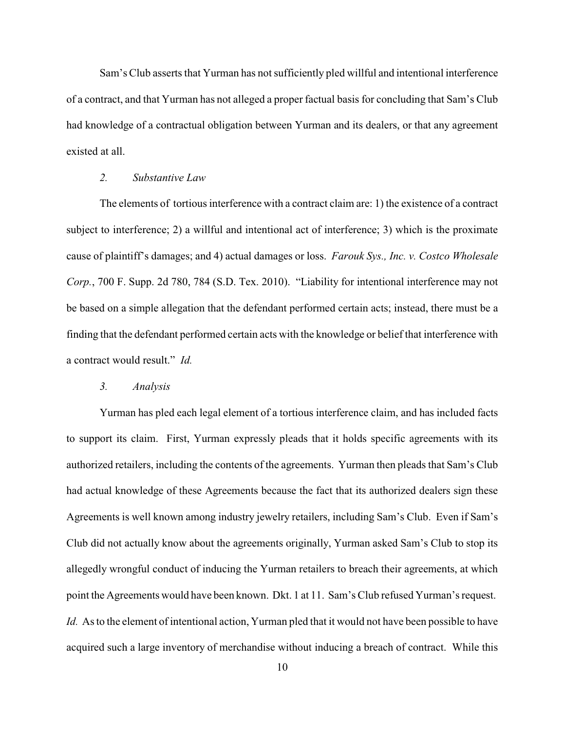Sam's Club asserts that Yurman has not sufficiently pled willful and intentional interference of a contract, and that Yurman has not alleged a proper factual basis for concluding that Sam's Club had knowledge of a contractual obligation between Yurman and its dealers, or that any agreement existed at all.

## *2. Substantive Law*

The elements of tortious interference with a contract claim are: 1) the existence of a contract subject to interference; 2) a willful and intentional act of interference; 3) which is the proximate cause of plaintiff's damages; and 4) actual damages or loss. *Farouk Sys., Inc. v. Costco Wholesale Corp.*, 700 F. Supp. 2d 780, 784 (S.D. Tex. 2010)."Liability for intentional interference may not be based on a simple allegation that the defendant performed certain acts; instead, there must be a finding that the defendant performed certain acts with the knowledge or belief that interference with a contract would result." *Id.* 

#### *3. Analysis*

Yurman has pled each legal element of a tortious interference claim, and has included facts to support its claim. First, Yurman expressly pleads that it holds specific agreements with its authorized retailers, including the contents of the agreements. Yurman then pleads that Sam's Club had actual knowledge of these Agreements because the fact that its authorized dealers sign these Agreements is well known among industry jewelry retailers, including Sam's Club. Even if Sam's Club did not actually know about the agreements originally, Yurman asked Sam's Club to stop its allegedly wrongful conduct of inducing the Yurman retailers to breach their agreements, at which point the Agreements would have been known. Dkt. 1 at 11. Sam's Club refused Yurman's request. *Id.* As to the element of intentional action, Yurman pled that it would not have been possible to have acquired such a large inventory of merchandise without inducing a breach of contract. While this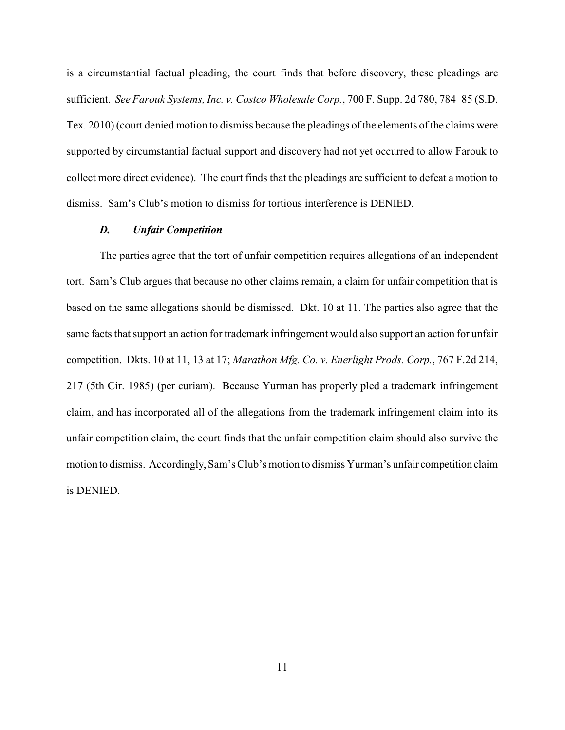is a circumstantial factual pleading, the court finds that before discovery, these pleadings are sufficient. *See Farouk Systems, Inc. v. Costco Wholesale Corp.*, 700 F. Supp. 2d 780, 784–85 (S.D. Tex. 2010) (court denied motion to dismiss because the pleadings of the elements of the claims were supported by circumstantial factual support and discovery had not yet occurred to allow Farouk to collect more direct evidence). The court finds that the pleadings are sufficient to defeat a motion to dismiss. Sam's Club's motion to dismiss for tortious interference is DENIED.

#### *D. Unfair Competition*

The parties agree that the tort of unfair competition requires allegations of an independent tort. Sam's Club argues that because no other claims remain, a claim for unfair competition that is based on the same allegations should be dismissed. Dkt. 10 at 11. The parties also agree that the same facts that support an action for trademark infringement would also support an action for unfair competition. Dkts. 10 at 11, 13 at 17; *Marathon Mfg. Co. v. Enerlight Prods. Corp.*, 767 F.2d 214, 217 (5th Cir. 1985) (per curiam). Because Yurman has properly pled a trademark infringement claim, and has incorporated all of the allegations from the trademark infringement claim into its unfair competition claim, the court finds that the unfair competition claim should also survive the motion to dismiss. Accordingly, Sam's Club's motion to dismiss Yurman's unfair competition claim is DENIED.